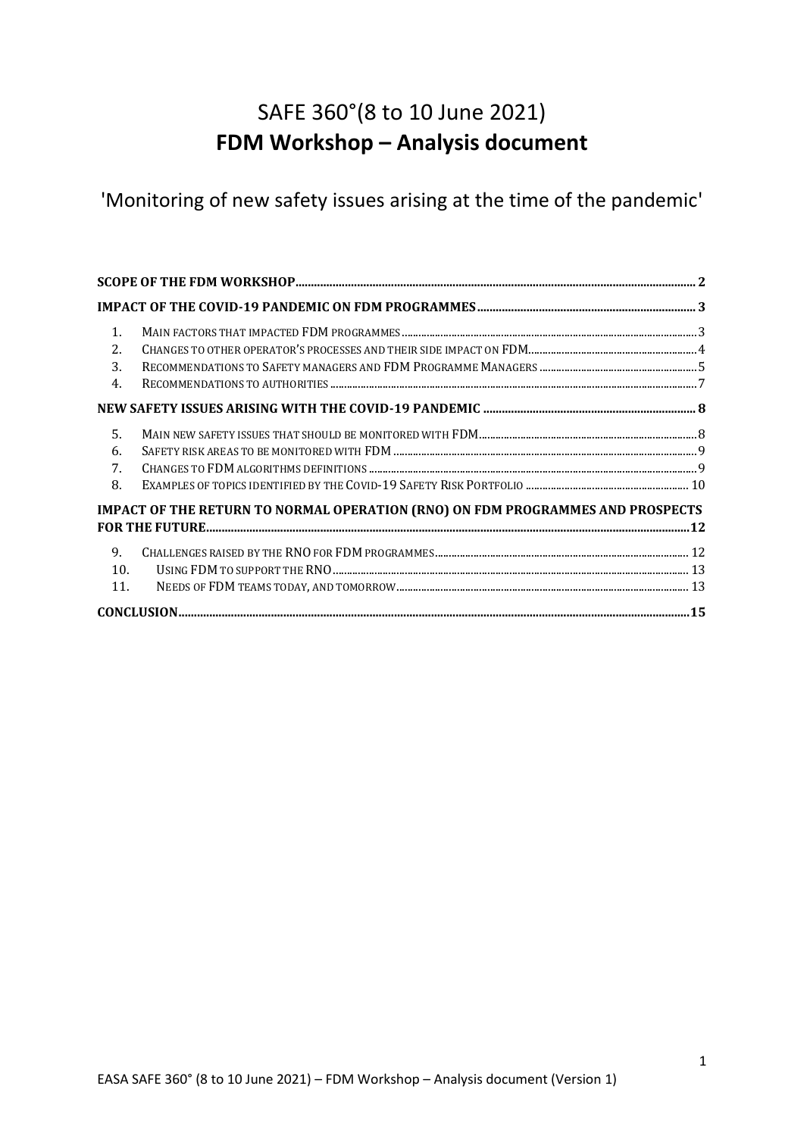# SAFE 360°(8 to 10 June 2021) **FDM Workshop – Analysis document**

'Monitoring of new safety issues arising at the time of the pandemic'

| $\mathbf{1}$ . |                                                                                       |  |
|----------------|---------------------------------------------------------------------------------------|--|
| 2.             |                                                                                       |  |
| 3.             |                                                                                       |  |
| 4.             |                                                                                       |  |
|                |                                                                                       |  |
| 5.             |                                                                                       |  |
| 6.             |                                                                                       |  |
| 7.             |                                                                                       |  |
| 8.             |                                                                                       |  |
|                | <b>IMPACT OF THE RETURN TO NORMAL OPERATION (RNO) ON FDM PROGRAMMES AND PROSPECTS</b> |  |
|                |                                                                                       |  |
| 9.             |                                                                                       |  |
| 10.            |                                                                                       |  |
| 11.            |                                                                                       |  |
|                |                                                                                       |  |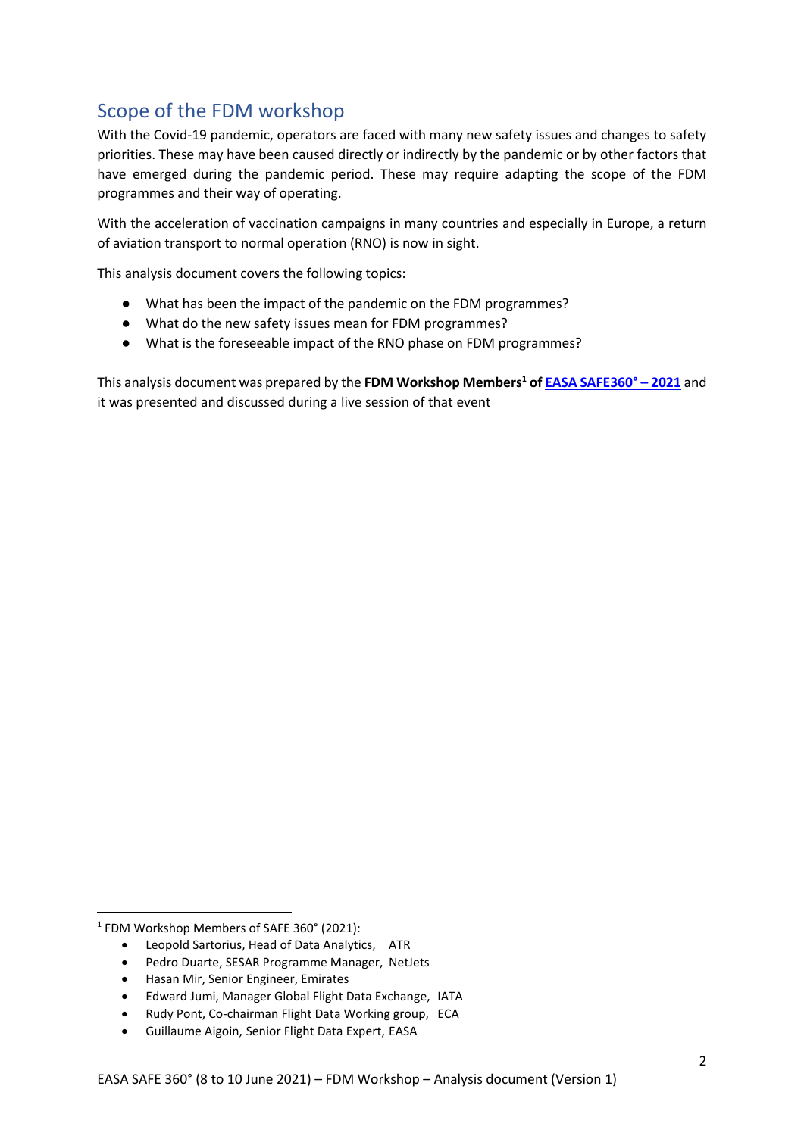## <span id="page-1-0"></span>Scope of the FDM workshop

With the Covid-19 pandemic, operators are faced with many new safety issues and changes to safety priorities. These may have been caused directly or indirectly by the pandemic or by other factors that have emerged during the pandemic period. These may require adapting the scope of the FDM programmes and their way of operating.

With the acceleration of vaccination campaigns in many countries and especially in Europe, a return of aviation transport to normal operation (RNO) is now in sight.

This analysis document covers the following topics:

- What has been the impact of the pandemic on the FDM programmes?
- What do the new safety issues mean for FDM programmes?
- What is the foreseeable impact of the RNO phase on FDM programmes?

This analysis document was prepared by the **FDM Workshop Members<sup>1</sup> o[f EASA SAFE360°](https://www.easasafe360.eu/) – 2021** and it was presented and discussed during a live session of that event

- Pedro Duarte, SESAR Programme Manager, NetJets
- Hasan Mir, Senior Engineer, Emirates
- Edward Jumi, Manager Global Flight Data Exchange, IATA
- Rudy Pont, Co-chairman Flight Data Working group, ECA
- Guillaume Aigoin, Senior Flight Data Expert, EASA

<sup>1</sup> FDM Workshop Members of SAFE 360° (2021):

<sup>•</sup> Leopold Sartorius, Head of Data Analytics, ATR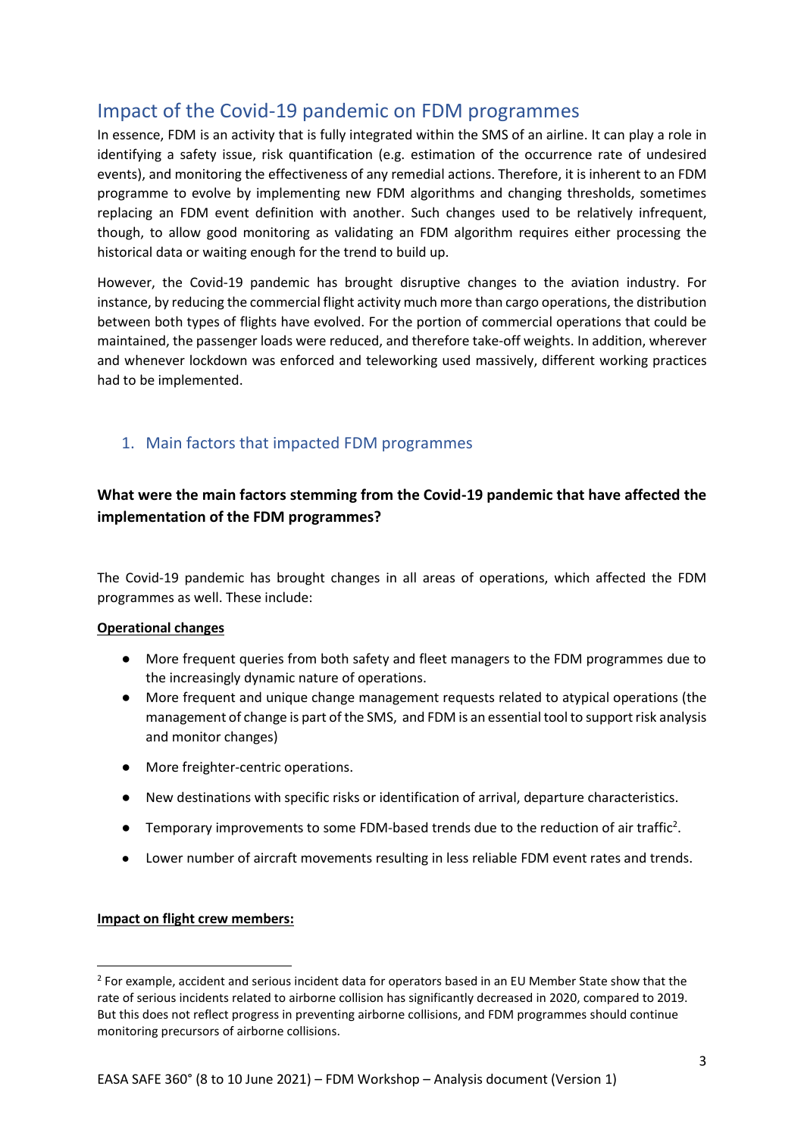## <span id="page-2-0"></span>Impact of the Covid-19 pandemic on FDM programmes

In essence, FDM is an activity that is fully integrated within the SMS of an airline. It can play a role in identifying a safety issue, risk quantification (e.g. estimation of the occurrence rate of undesired events), and monitoring the effectiveness of any remedial actions. Therefore, it is inherent to an FDM programme to evolve by implementing new FDM algorithms and changing thresholds, sometimes replacing an FDM event definition with another. Such changes used to be relatively infrequent, though, to allow good monitoring as validating an FDM algorithm requires either processing the historical data or waiting enough for the trend to build up.

However, the Covid-19 pandemic has brought disruptive changes to the aviation industry. For instance, by reducing the commercial flight activity much more than cargo operations, the distribution between both types of flights have evolved. For the portion of commercial operations that could be maintained, the passenger loads were reduced, and therefore take-off weights. In addition, wherever and whenever lockdown was enforced and teleworking used massively, different working practices had to be implemented.

## <span id="page-2-1"></span>1. Main factors that impacted FDM programmes

## **What were the main factors stemming from the Covid-19 pandemic that have affected the implementation of the FDM programmes?**

The Covid-19 pandemic has brought changes in all areas of operations, which affected the FDM programmes as well. These include:

### **Operational changes**

- More frequent queries from both safety and fleet managers to the FDM programmes due to the increasingly dynamic nature of operations.
- More frequent and unique change management requests related to atypical operations (the management of change is part of the SMS, and FDM is an essential tool to support risk analysis and monitor changes)
- More freighter-centric operations.
- New destinations with specific risks or identification of arrival, departure characteristics.
- $\bullet$  Temporary improvements to some FDM-based trends due to the reduction of air traffic<sup>2</sup>.
- Lower number of aircraft movements resulting in less reliable FDM event rates and trends.

### **Impact on flight crew members:**

 $2$  For example, accident and serious incident data for operators based in an EU Member State show that the rate of serious incidents related to airborne collision has significantly decreased in 2020, compared to 2019. But this does not reflect progress in preventing airborne collisions, and FDM programmes should continue monitoring precursors of airborne collisions.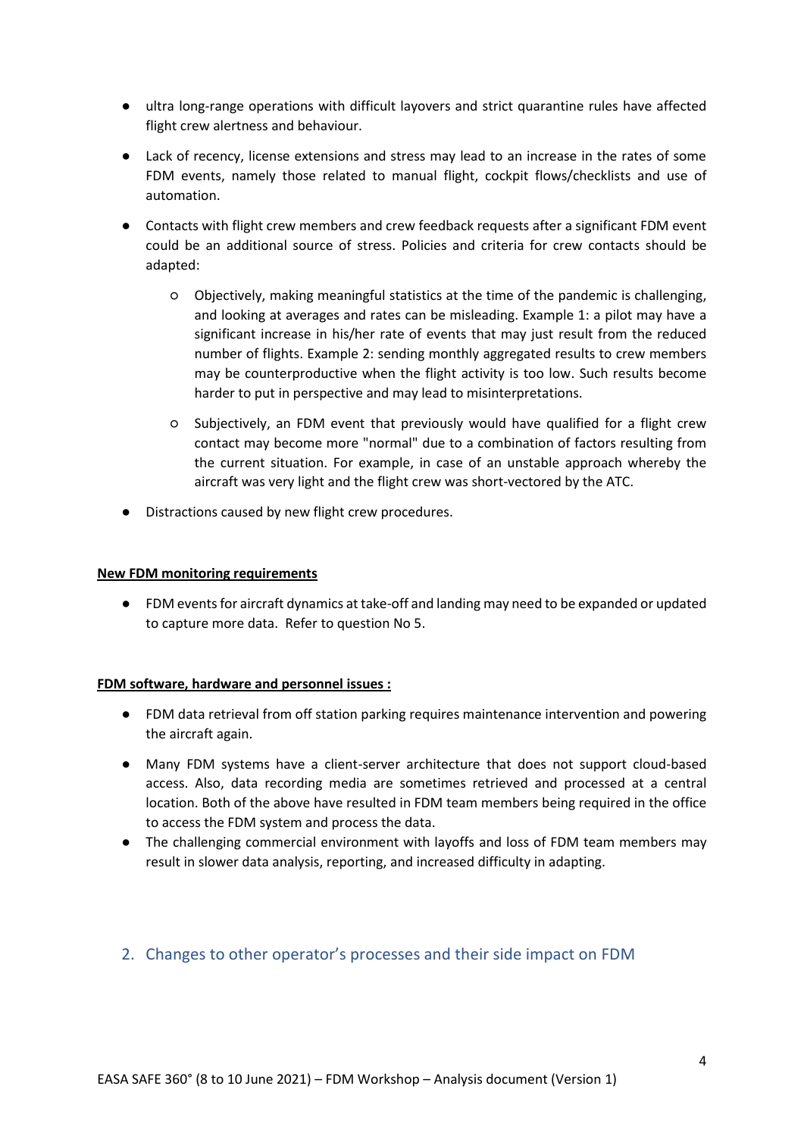- ultra long-range operations with difficult layovers and strict quarantine rules have affected flight crew alertness and behaviour.
- Lack of recency, license extensions and stress may lead to an increase in the rates of some FDM events, namely those related to manual flight, cockpit flows/checklists and use of automation.
- Contacts with flight crew members and crew feedback requests after a significant FDM event could be an additional source of stress. Policies and criteria for crew contacts should be adapted:
	- Objectively, making meaningful statistics at the time of the pandemic is challenging, and looking at averages and rates can be misleading. Example 1: a pilot may have a significant increase in his/her rate of events that may just result from the reduced number of flights. Example 2: sending monthly aggregated results to crew members may be counterproductive when the flight activity is too low. Such results become harder to put in perspective and may lead to misinterpretations.
	- Subjectively, an FDM event that previously would have qualified for a flight crew contact may become more "normal" due to a combination of factors resulting from the current situation. For example, in case of an unstable approach whereby the aircraft was very light and the flight crew was short-vectored by the ATC.
- Distractions caused by new flight crew procedures.

#### **New FDM monitoring requirements**

● FDM events for aircraft dynamics at take-off and landing may need to be expanded or updated to capture more data. Refer to question No 5.

#### **FDM software, hardware and personnel issues :**

- FDM data retrieval from off station parking requires maintenance intervention and powering the aircraft again.
- Many FDM systems have a client-server architecture that does not support cloud-based access. Also, data recording media are sometimes retrieved and processed at a central location. Both of the above have resulted in FDM team members being required in the office to access the FDM system and process the data.
- The challenging commercial environment with layoffs and loss of FDM team members may result in slower data analysis, reporting, and increased difficulty in adapting.

## <span id="page-3-0"></span>2. Changes to other operator's processes and their side impact on FDM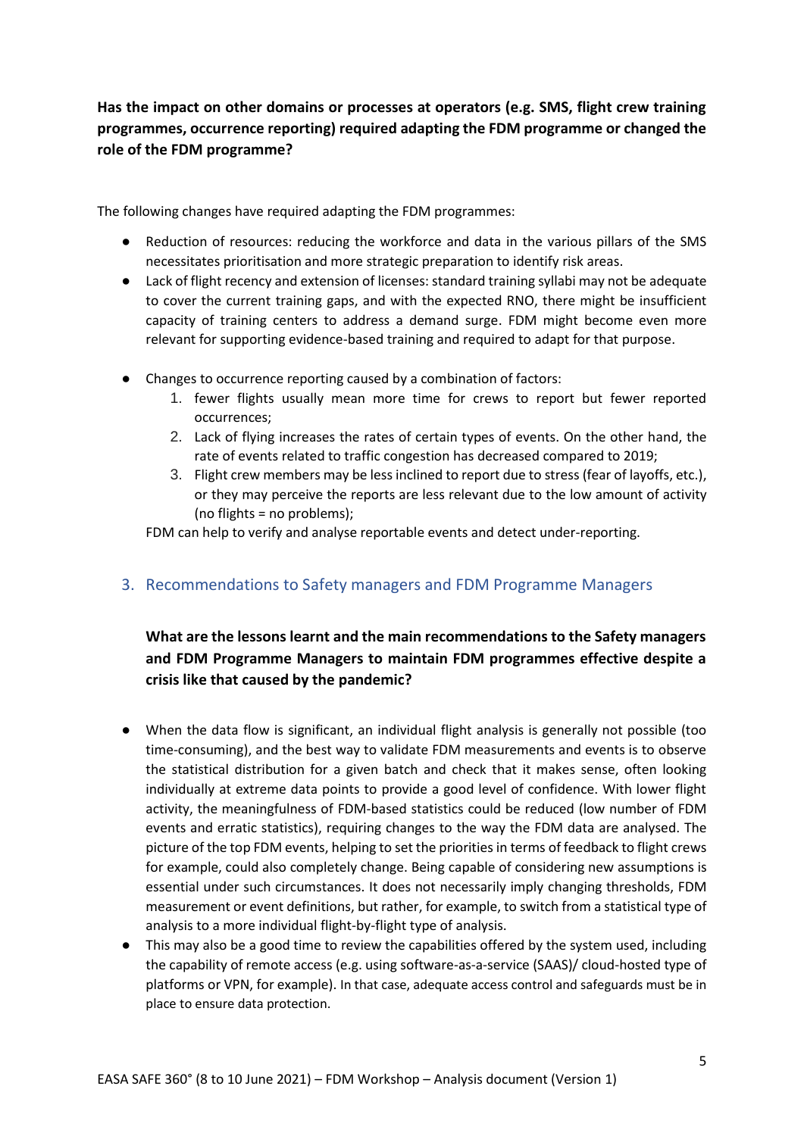## **Has the impact on other domains or processes at operators (e.g. SMS, flight crew training programmes, occurrence reporting) required adapting the FDM programme or changed the role of the FDM programme?**

The following changes have required adapting the FDM programmes:

- Reduction of resources: reducing the workforce and data in the various pillars of the SMS necessitates prioritisation and more strategic preparation to identify risk areas.
- Lack of flight recency and extension of licenses: standard training syllabi may not be adequate to cover the current training gaps, and with the expected RNO, there might be insufficient capacity of training centers to address a demand surge. FDM might become even more relevant for supporting evidence-based training and required to adapt for that purpose.
- Changes to occurrence reporting caused by a combination of factors:
	- 1. fewer flights usually mean more time for crews to report but fewer reported occurrences;
	- 2. Lack of flying increases the rates of certain types of events. On the other hand, the rate of events related to traffic congestion has decreased compared to 2019;
	- 3. Flight crew members may be less inclined to report due to stress (fear of layoffs, etc.), or they may perceive the reports are less relevant due to the low amount of activity (no flights = no problems);

FDM can help to verify and analyse reportable events and detect under-reporting.

## <span id="page-4-0"></span>3. Recommendations to Safety managers and FDM Programme Managers

## **What are the lessons learnt and the main recommendations to the Safety managers and FDM Programme Managers to maintain FDM programmes effective despite a crisis like that caused by the pandemic?**

- When the data flow is significant, an individual flight analysis is generally not possible (too time-consuming), and the best way to validate FDM measurements and events is to observe the statistical distribution for a given batch and check that it makes sense, often looking individually at extreme data points to provide a good level of confidence. With lower flight activity, the meaningfulness of FDM-based statistics could be reduced (low number of FDM events and erratic statistics), requiring changes to the way the FDM data are analysed. The picture of the top FDM events, helping to set the priorities in terms of feedback to flight crews for example, could also completely change. Being capable of considering new assumptions is essential under such circumstances. It does not necessarily imply changing thresholds, FDM measurement or event definitions, but rather, for example, to switch from a statistical type of analysis to a more individual flight-by-flight type of analysis.
- This may also be a good time to review the capabilities offered by the system used, including the capability of remote access (e.g. using software-as-a-service (SAAS)/ cloud-hosted type of platforms or VPN, for example). In that case, adequate access control and safeguards must be in place to ensure data protection.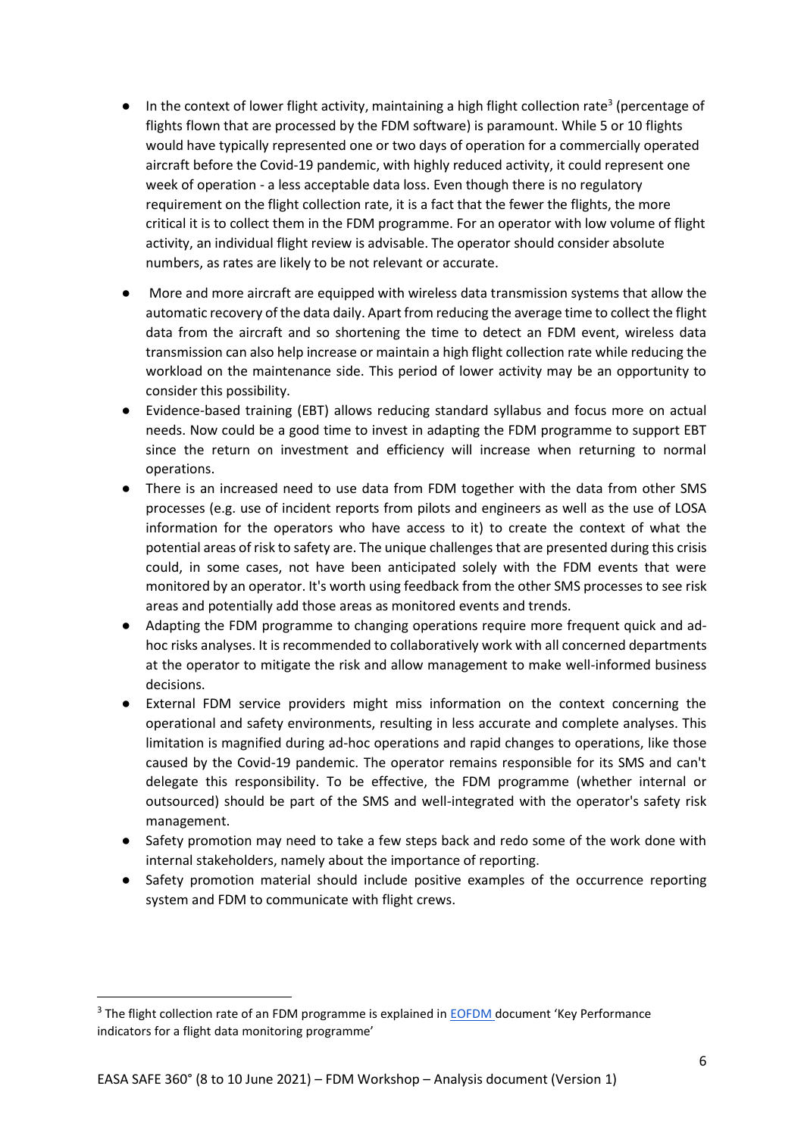- $\bullet$  In the context of lower flight activity, maintaining a high flight collection rate<sup>3</sup> (percentage of flights flown that are processed by the FDM software) is paramount. While 5 or 10 flights would have typically represented one or two days of operation for a commercially operated aircraft before the Covid-19 pandemic, with highly reduced activity, it could represent one week of operation - a less acceptable data loss. Even though there is no regulatory requirement on the flight collection rate, it is a fact that the fewer the flights, the more critical it is to collect them in the FDM programme. For an operator with low volume of flight activity, an individual flight review is advisable. The operator should consider absolute numbers, as rates are likely to be not relevant or accurate.
- More and more aircraft are equipped with wireless data transmission systems that allow the automatic recovery of the data daily. Apart from reducing the average time to collect the flight data from the aircraft and so shortening the time to detect an FDM event, wireless data transmission can also help increase or maintain a high flight collection rate while reducing the workload on the maintenance side. This period of lower activity may be an opportunity to consider this possibility.
- Evidence-based training (EBT) allows reducing standard syllabus and focus more on actual needs. Now could be a good time to invest in adapting the FDM programme to support EBT since the return on investment and efficiency will increase when returning to normal operations.
- There is an increased need to use data from FDM together with the data from other SMS processes (e.g. use of incident reports from pilots and engineers as well as the use of LOSA information for the operators who have access to it) to create the context of what the potential areas of risk to safety are. The unique challenges that are presented during this crisis could, in some cases, not have been anticipated solely with the FDM events that were monitored by an operator. It's worth using feedback from the other SMS processes to see risk areas and potentially add those areas as monitored events and trends.
- Adapting the FDM programme to changing operations require more frequent quick and adhoc risks analyses. It is recommended to collaboratively work with all concerned departments at the operator to mitigate the risk and allow management to make well-informed business decisions.
- External FDM service providers might miss information on the context concerning the operational and safety environments, resulting in less accurate and complete analyses. This limitation is magnified during ad-hoc operations and rapid changes to operations, like those caused by the Covid-19 pandemic. The operator remains responsible for its SMS and can't delegate this responsibility. To be effective, the FDM programme (whether internal or outsourced) should be part of the SMS and well-integrated with the operator's safety risk management.
- Safety promotion may need to take a few steps back and redo some of the work done with internal stakeholders, namely about the importance of reporting.
- Safety promotion material should include positive examples of the occurrence reporting system and FDM to communicate with flight crews.

<sup>&</sup>lt;sup>3</sup> The flight collection rate of an FDM programme is explained in **EOFDM** document 'Key Performance indicators for a flight data monitoring programme'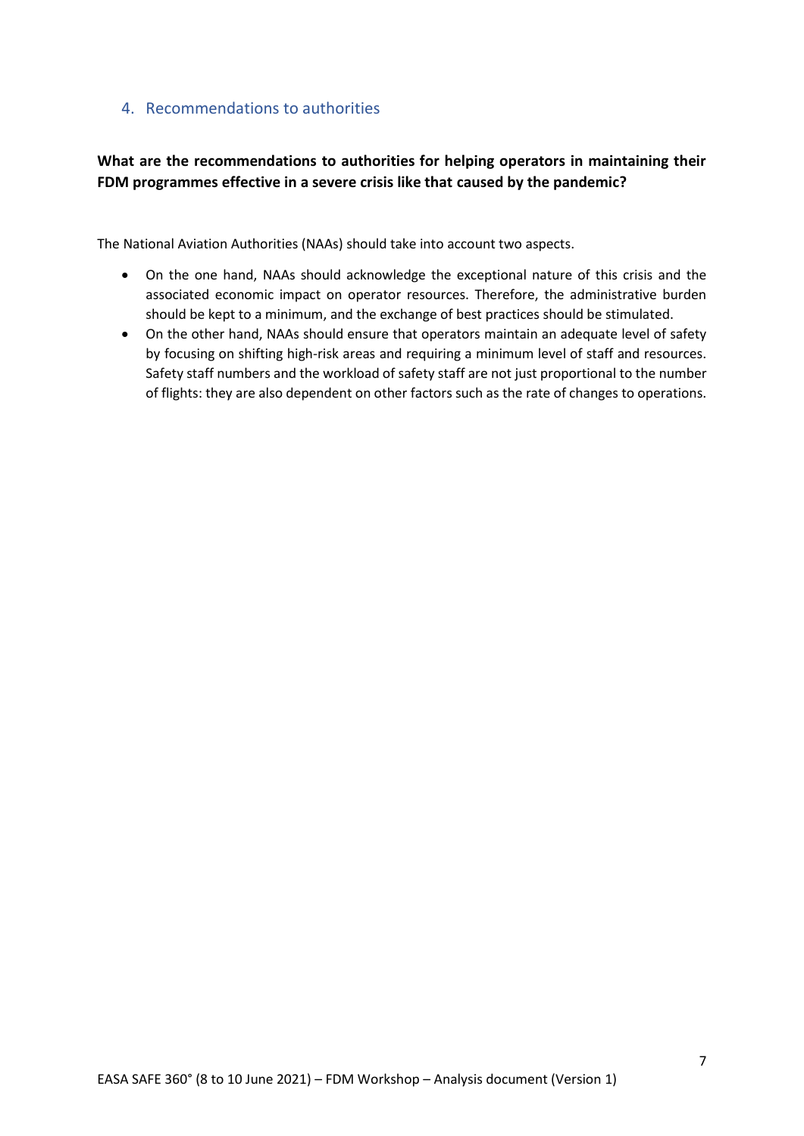## <span id="page-6-0"></span>4. Recommendations to authorities

## **What are the recommendations to authorities for helping operators in maintaining their FDM programmes effective in a severe crisis like that caused by the pandemic?**

The National Aviation Authorities (NAAs) should take into account two aspects.

- On the one hand, NAAs should acknowledge the exceptional nature of this crisis and the associated economic impact on operator resources. Therefore, the administrative burden should be kept to a minimum, and the exchange of best practices should be stimulated.
- On the other hand, NAAs should ensure that operators maintain an adequate level of safety by focusing on shifting high-risk areas and requiring a minimum level of staff and resources. Safety staff numbers and the workload of safety staff are not just proportional to the number of flights: they are also dependent on other factors such as the rate of changes to operations.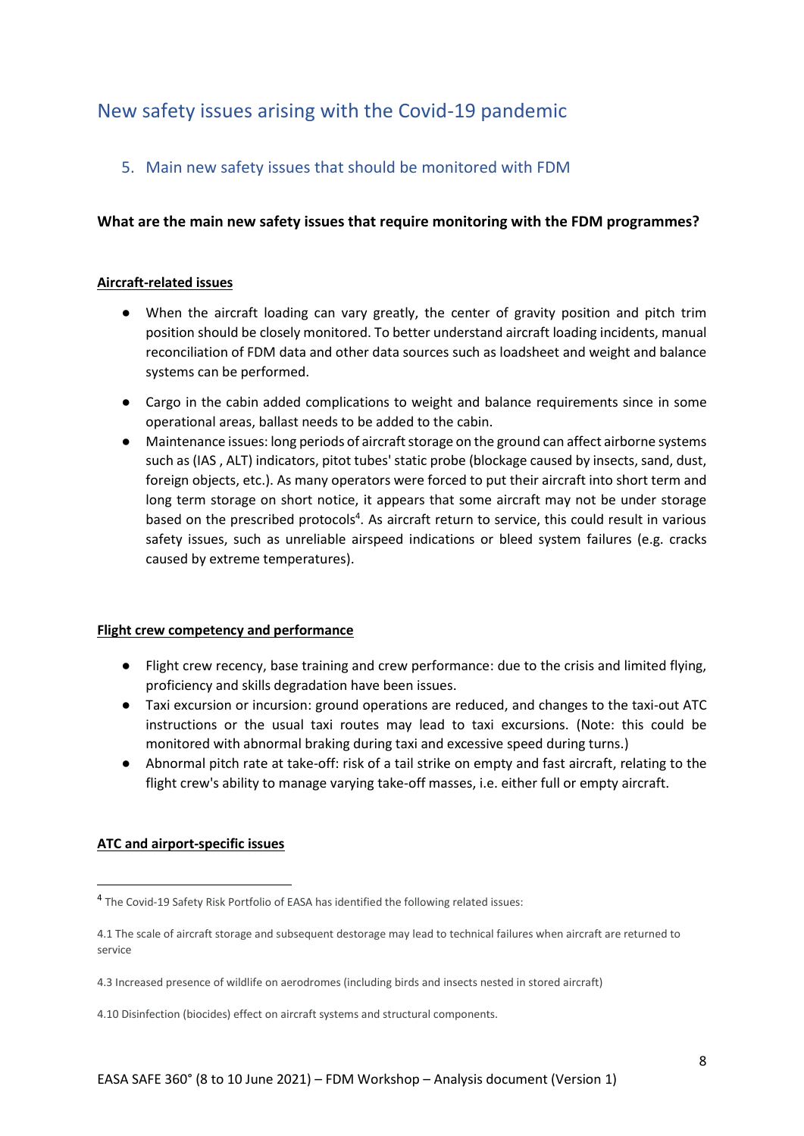## <span id="page-7-0"></span>New safety issues arising with the Covid-19 pandemic

## <span id="page-7-1"></span>5. Main new safety issues that should be monitored with FDM

## **What are the main new safety issues that require monitoring with the FDM programmes?**

#### **Aircraft-related issues**

- When the aircraft loading can vary greatly, the center of gravity position and pitch trim position should be closely monitored. To better understand aircraft loading incidents, manual reconciliation of FDM data and other data sources such as loadsheet and weight and balance systems can be performed.
- Cargo in the cabin added complications to weight and balance requirements since in some operational areas, ballast needs to be added to the cabin.
- Maintenance issues: long periods of aircraft storage on the ground can affect airborne systems such as (IAS , ALT) indicators, pitot tubes' static probe (blockage caused by insects, sand, dust, foreign objects, etc.). As many operators were forced to put their aircraft into short term and long term storage on short notice, it appears that some aircraft may not be under storage based on the prescribed protocols<sup>4</sup>. As aircraft return to service, this could result in various safety issues, such as unreliable airspeed indications or bleed system failures (e.g. cracks caused by extreme temperatures).

#### **Flight crew competency and performance**

- Flight crew recency, base training and crew performance: due to the crisis and limited flying, proficiency and skills degradation have been issues.
- Taxi excursion or incursion: ground operations are reduced, and changes to the taxi-out ATC instructions or the usual taxi routes may lead to taxi excursions. (Note: this could be monitored with abnormal braking during taxi and excessive speed during turns.)
- Abnormal pitch rate at take-off: risk of a tail strike on empty and fast aircraft, relating to the flight crew's ability to manage varying take-off masses, i.e. either full or empty aircraft.

### **ATC and airport-specific issues**

<sup>&</sup>lt;sup>4</sup> The Covid-19 Safety Risk Portfolio of EASA has identified the following related issues:

<sup>4.1</sup> The scale of aircraft storage and subsequent destorage may lead to technical failures when aircraft are returned to service

<sup>4.3</sup> Increased presence of wildlife on aerodromes (including birds and insects nested in stored aircraft)

<sup>4.10</sup> Disinfection (biocides) effect on aircraft systems and structural components.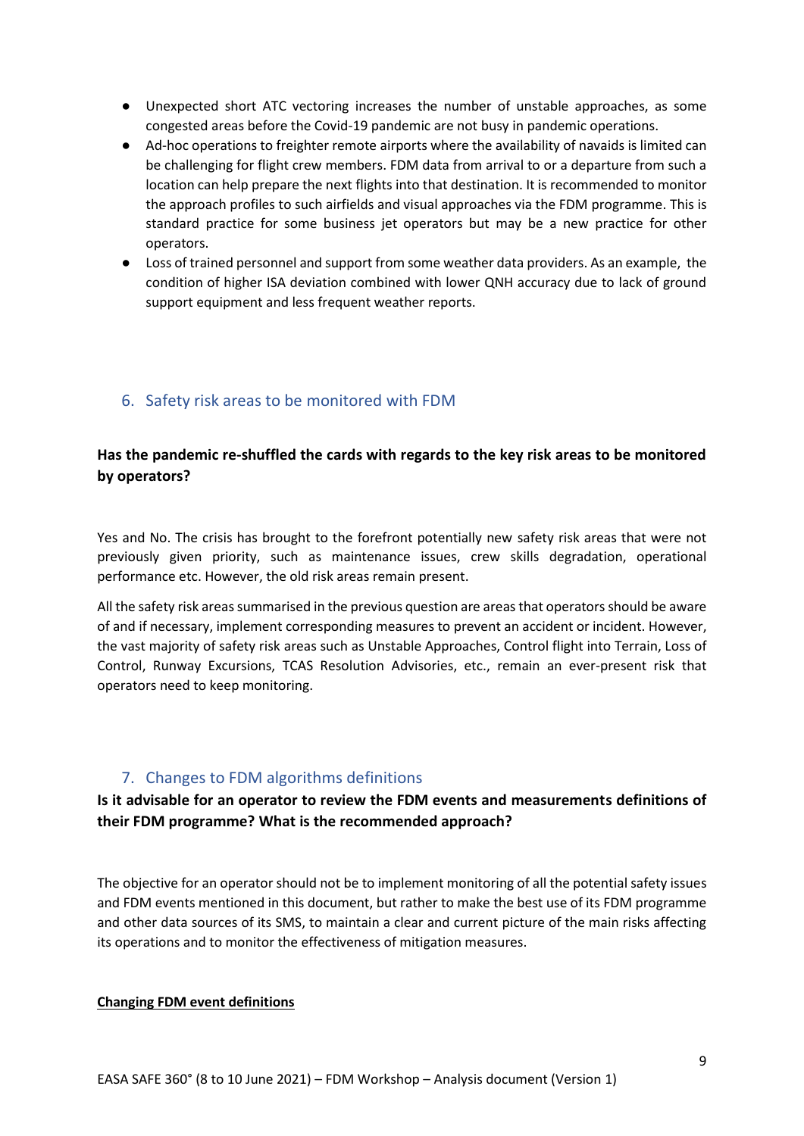- Unexpected short ATC vectoring increases the number of unstable approaches, as some congested areas before the Covid-19 pandemic are not busy in pandemic operations.
- Ad-hoc operations to freighter remote airports where the availability of navaids is limited can be challenging for flight crew members. FDM data from arrival to or a departure from such a location can help prepare the next flights into that destination. It is recommended to monitor the approach profiles to such airfields and visual approaches via the FDM programme. This is standard practice for some business jet operators but may be a new practice for other operators.
- Loss of trained personnel and support from some weather data providers. As an example, the condition of higher ISA deviation combined with lower QNH accuracy due to lack of ground support equipment and less frequent weather reports.

## <span id="page-8-0"></span>6. Safety risk areas to be monitored with FDM

## **Has the pandemic re-shuffled the cards with regards to the key risk areas to be monitored by operators?**

Yes and No. The crisis has brought to the forefront potentially new safety risk areas that were not previously given priority, such as maintenance issues, crew skills degradation, operational performance etc. However, the old risk areas remain present.

All the safety risk areas summarised in the previous question are areas that operators should be aware of and if necessary, implement corresponding measures to prevent an accident or incident. However, the vast majority of safety risk areas such as Unstable Approaches, Control flight into Terrain, Loss of Control, Runway Excursions, TCAS Resolution Advisories, etc., remain an ever-present risk that operators need to keep monitoring.

## 7. Changes to FDM algorithms definitions

## <span id="page-8-1"></span>**Is it advisable for an operator to review the FDM events and measurements definitions of their FDM programme? What is the recommended approach?**

The objective for an operator should not be to implement monitoring of all the potential safety issues and FDM events mentioned in this document, but rather to make the best use of its FDM programme and other data sources of its SMS, to maintain a clear and current picture of the main risks affecting its operations and to monitor the effectiveness of mitigation measures.

#### **Changing FDM event definitions**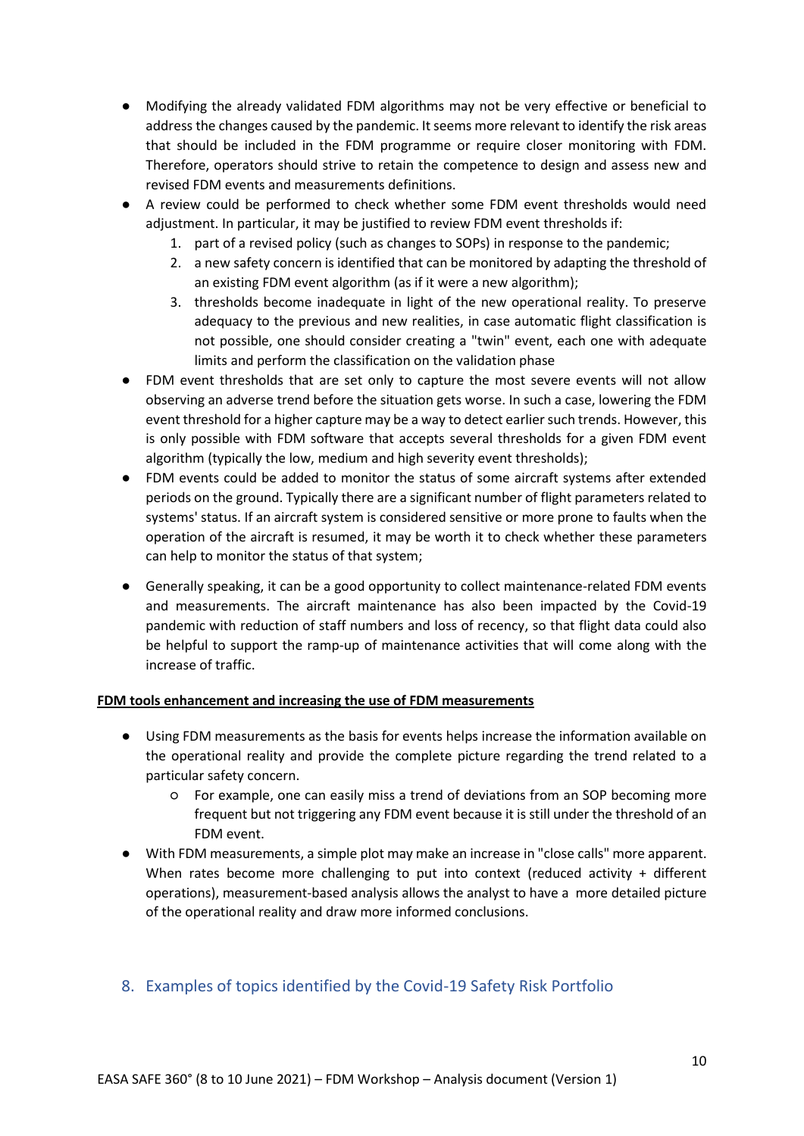- Modifying the already validated FDM algorithms may not be very effective or beneficial to address the changes caused by the pandemic. It seems more relevant to identify the risk areas that should be included in the FDM programme or require closer monitoring with FDM. Therefore, operators should strive to retain the competence to design and assess new and revised FDM events and measurements definitions.
- A review could be performed to check whether some FDM event thresholds would need adjustment. In particular, it may be justified to review FDM event thresholds if:
	- 1. part of a revised policy (such as changes to SOPs) in response to the pandemic;
	- 2. a new safety concern is identified that can be monitored by adapting the threshold of an existing FDM event algorithm (as if it were a new algorithm);
	- 3. thresholds become inadequate in light of the new operational reality. To preserve adequacy to the previous and new realities, in case automatic flight classification is not possible, one should consider creating a "twin" event, each one with adequate limits and perform the classification on the validation phase
- FDM event thresholds that are set only to capture the most severe events will not allow observing an adverse trend before the situation gets worse. In such a case, lowering the FDM event threshold for a higher capture may be a way to detect earlier such trends. However, this is only possible with FDM software that accepts several thresholds for a given FDM event algorithm (typically the low, medium and high severity event thresholds);
- FDM events could be added to monitor the status of some aircraft systems after extended periods on the ground. Typically there are a significant number of flight parameters related to systems' status. If an aircraft system is considered sensitive or more prone to faults when the operation of the aircraft is resumed, it may be worth it to check whether these parameters can help to monitor the status of that system;
- Generally speaking, it can be a good opportunity to collect maintenance-related FDM events and measurements. The aircraft maintenance has also been impacted by the Covid-19 pandemic with reduction of staff numbers and loss of recency, so that flight data could also be helpful to support the ramp-up of maintenance activities that will come along with the increase of traffic.

### **FDM tools enhancement and increasing the use of FDM measurements**

- Using FDM measurements as the basis for events helps increase the information available on the operational reality and provide the complete picture regarding the trend related to a particular safety concern.
	- For example, one can easily miss a trend of deviations from an SOP becoming more frequent but not triggering any FDM event because it is still under the threshold of an FDM event.
- With FDM measurements, a simple plot may make an increase in "close calls" more apparent. When rates become more challenging to put into context (reduced activity + different operations), measurement-based analysis allows the analyst to have a more detailed picture of the operational reality and draw more informed conclusions.

## <span id="page-9-0"></span>8. Examples of topics identified by the Covid-19 Safety Risk Portfolio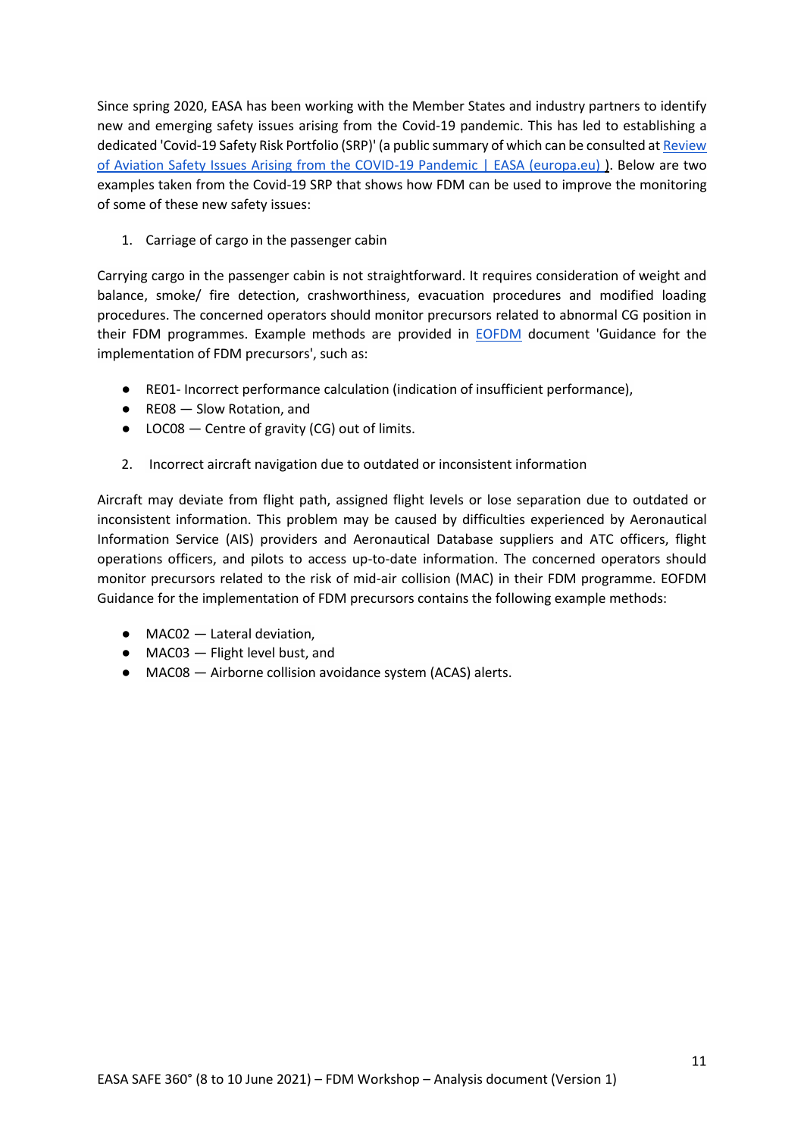Since spring 2020, EASA has been working with the Member States and industry partners to identify new and emerging safety issues arising from the Covid-19 pandemic. This has led to establishing a dedicated 'Covid-19 Safety Risk Portfolio (SRP)' (a public summary of which can be consulted a[t Review](https://www.easa.europa.eu/document-library/general-publications/review-aviation-safety-issues-arising-covid-19-pandemic-0)  [of Aviation Safety Issues Arising from the COVID-19 Pandemic | EASA \(europa.eu\)](https://www.easa.europa.eu/document-library/general-publications/review-aviation-safety-issues-arising-covid-19-pandemic-0) ). Below are two examples taken from the Covid-19 SRP that shows how FDM can be used to improve the monitoring of some of these new safety issues:

1. Carriage of cargo in the passenger cabin

Carrying cargo in the passenger cabin is not straightforward. It requires consideration of weight and balance, smoke/ fire detection, crashworthiness, evacuation procedures and modified loading procedures. The concerned operators should monitor precursors related to abnormal CG position in their FDM programmes. Example methods are provided in [EOFDM](https://www.easa.europa.eu/domains/safety-management/safety-promotion/european-operators-flight-data-monitoring-eofdm-forum) document 'Guidance for the implementation of FDM precursors', such as:

- RE01- Incorrect performance calculation (indication of insufficient performance),
- RE08 Slow Rotation, and
- LOC08 Centre of gravity (CG) out of limits.
- 2. Incorrect aircraft navigation due to outdated or inconsistent information

Aircraft may deviate from flight path, assigned flight levels or lose separation due to outdated or inconsistent information. This problem may be caused by difficulties experienced by Aeronautical Information Service (AIS) providers and Aeronautical Database suppliers and ATC officers, flight operations officers, and pilots to access up-to-date information. The concerned operators should monitor precursors related to the risk of mid-air collision (MAC) in their FDM programme. EOFDM Guidance for the implementation of FDM precursors contains the following example methods:

- $\bullet$  MAC02  $-$  Lateral deviation.
- MAC03 Flight level bust, and
- MAC08 Airborne collision avoidance system (ACAS) alerts.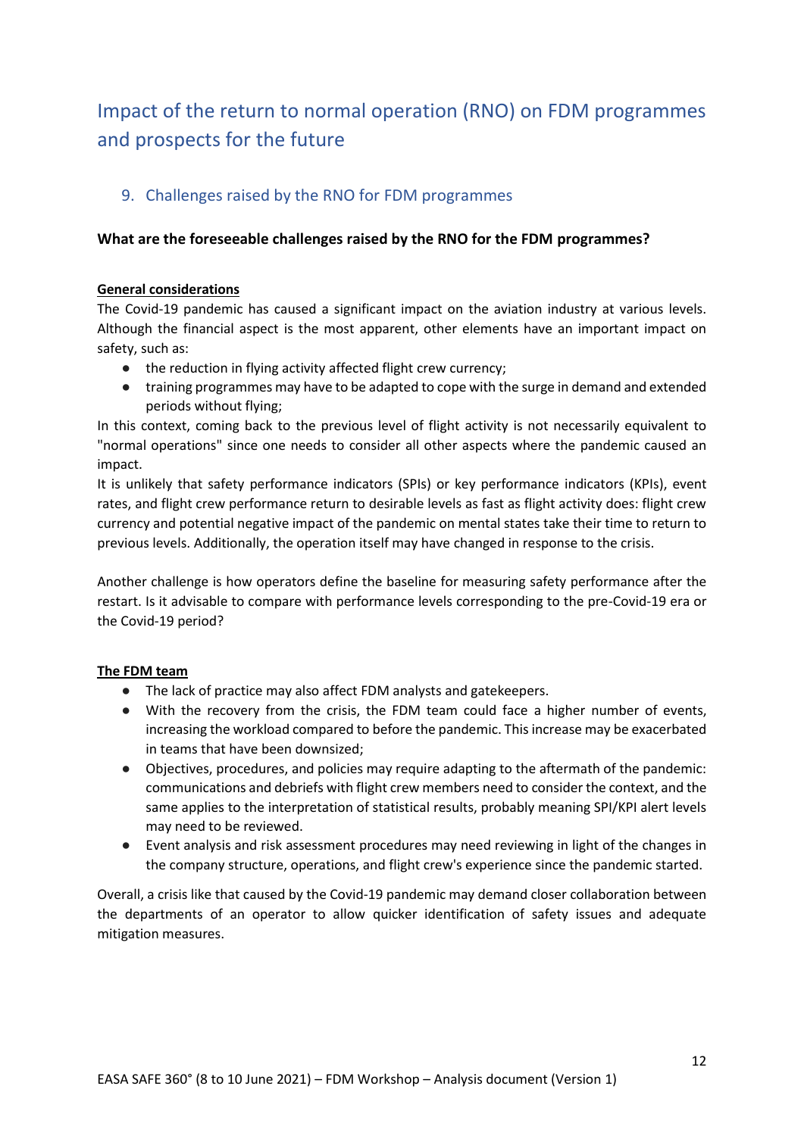# <span id="page-11-0"></span>Impact of the return to normal operation (RNO) on FDM programmes and prospects for the future

## <span id="page-11-1"></span>9. Challenges raised by the RNO for FDM programmes

### **What are the foreseeable challenges raised by the RNO for the FDM programmes?**

#### **General considerations**

The Covid-19 pandemic has caused a significant impact on the aviation industry at various levels. Although the financial aspect is the most apparent, other elements have an important impact on safety, such as:

- the reduction in flying activity affected flight crew currency;
- training programmes may have to be adapted to cope with the surge in demand and extended periods without flying;

In this context, coming back to the previous level of flight activity is not necessarily equivalent to "normal operations" since one needs to consider all other aspects where the pandemic caused an impact.

It is unlikely that safety performance indicators (SPIs) or key performance indicators (KPIs), event rates, and flight crew performance return to desirable levels as fast as flight activity does: flight crew currency and potential negative impact of the pandemic on mental states take their time to return to previous levels. Additionally, the operation itself may have changed in response to the crisis.

Another challenge is how operators define the baseline for measuring safety performance after the restart. Is it advisable to compare with performance levels corresponding to the pre-Covid-19 era or the Covid-19 period?

### **The FDM team**

- The lack of practice may also affect FDM analysts and gatekeepers.
- With the recovery from the crisis, the FDM team could face a higher number of events, increasing the workload compared to before the pandemic. This increase may be exacerbated in teams that have been downsized;
- Objectives, procedures, and policies may require adapting to the aftermath of the pandemic: communications and debriefs with flight crew members need to consider the context, and the same applies to the interpretation of statistical results, probably meaning SPI/KPI alert levels may need to be reviewed.
- Event analysis and risk assessment procedures may need reviewing in light of the changes in the company structure, operations, and flight crew's experience since the pandemic started.

Overall, a crisis like that caused by the Covid-19 pandemic may demand closer collaboration between the departments of an operator to allow quicker identification of safety issues and adequate mitigation measures.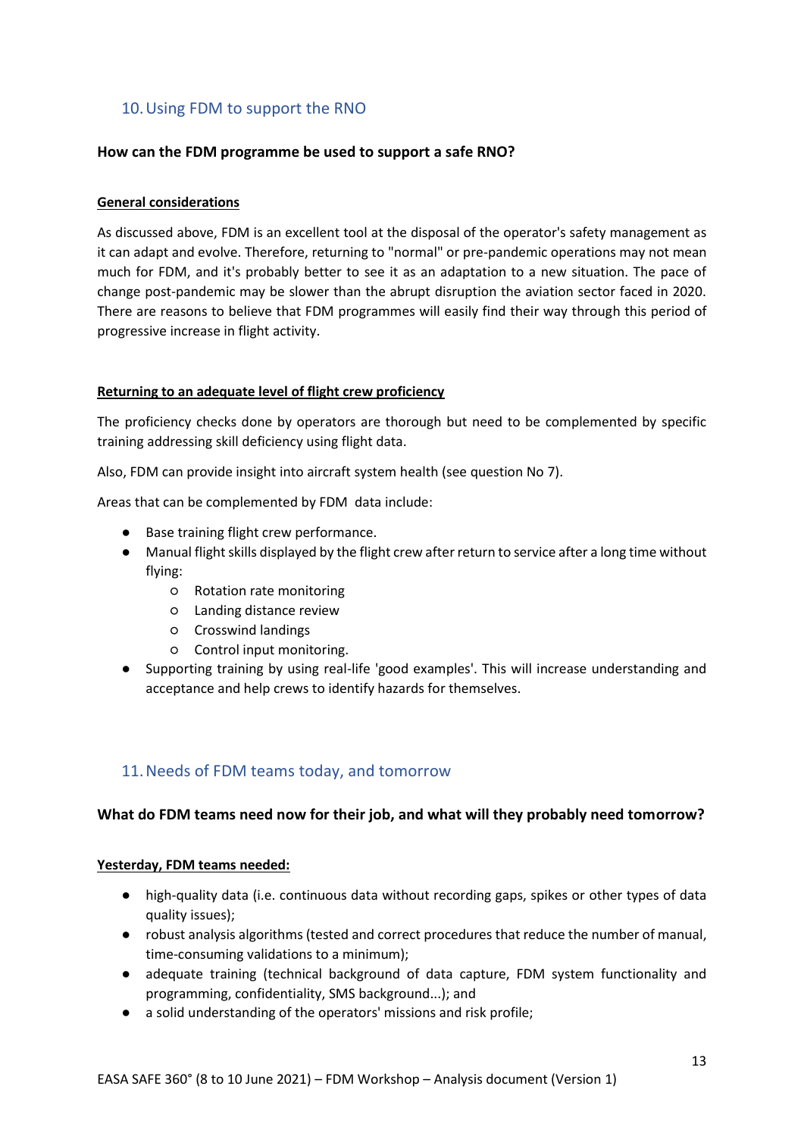## <span id="page-12-0"></span>10.Using FDM to support the RNO

#### **How can the FDM programme be used to support a safe RNO?**

#### **General considerations**

As discussed above, FDM is an excellent tool at the disposal of the operator's safety management as it can adapt and evolve. Therefore, returning to "normal" or pre-pandemic operations may not mean much for FDM, and it's probably better to see it as an adaptation to a new situation. The pace of change post-pandemic may be slower than the abrupt disruption the aviation sector faced in 2020. There are reasons to believe that FDM programmes will easily find their way through this period of progressive increase in flight activity.

#### **Returning to an adequate level of flight crew proficiency**

The proficiency checks done by operators are thorough but need to be complemented by specific training addressing skill deficiency using flight data.

Also, FDM can provide insight into aircraft system health (see question No 7).

Areas that can be complemented by FDM data include:

- Base training flight crew performance.
- Manual flight skills displayed by the flight crew after return to service after a long time without flying:
	- Rotation rate monitoring
	- Landing distance review
	- Crosswind landings
	- Control input monitoring.
- Supporting training by using real-life 'good examples'. This will increase understanding and acceptance and help crews to identify hazards for themselves.

### <span id="page-12-1"></span>11.Needs of FDM teams today, and tomorrow

#### **What do FDM teams need now for their job, and what will they probably need tomorrow?**

#### **Yesterday, FDM teams needed:**

- high-quality data (i.e. continuous data without recording gaps, spikes or other types of data quality issues);
- robust analysis algorithms (tested and correct procedures that reduce the number of manual, time-consuming validations to a minimum);
- adequate training (technical background of data capture, FDM system functionality and programming, confidentiality, SMS background...); and
- a solid understanding of the operators' missions and risk profile;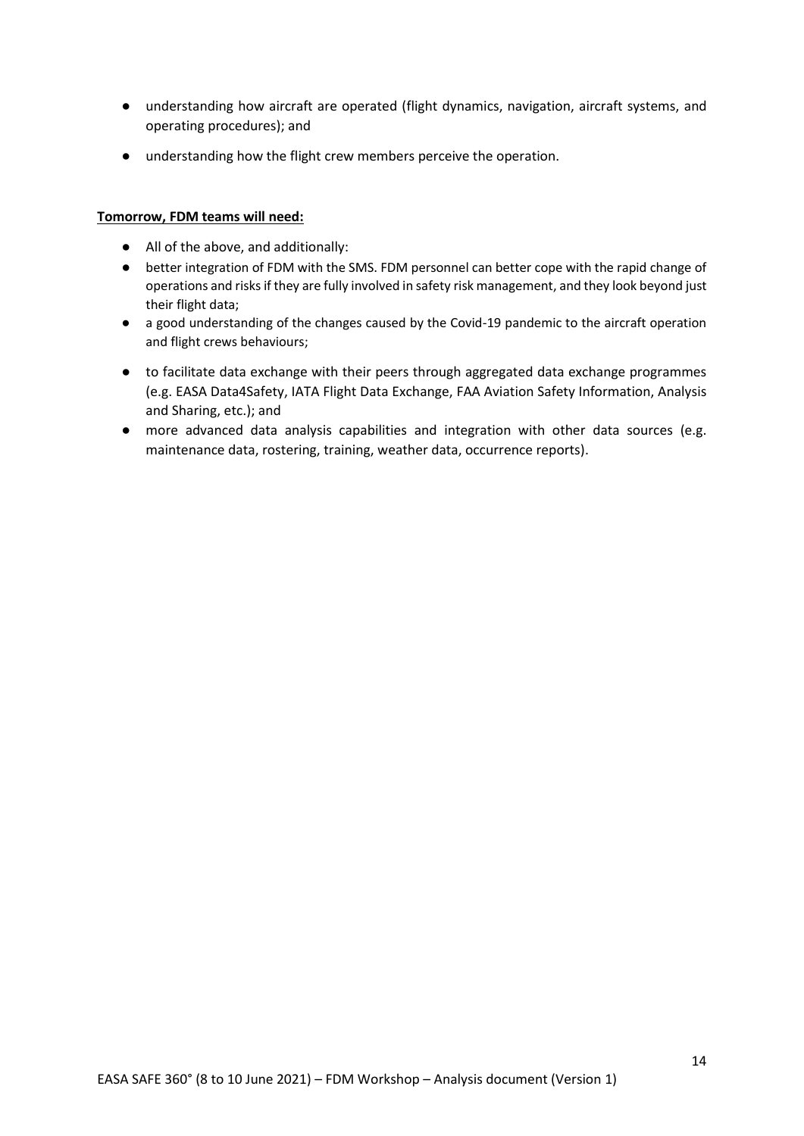- understanding how aircraft are operated (flight dynamics, navigation, aircraft systems, and operating procedures); and
- understanding how the flight crew members perceive the operation.

#### **Tomorrow, FDM teams will need:**

- All of the above, and additionally:
- better integration of FDM with the SMS. FDM personnel can better cope with the rapid change of operations and risks if they are fully involved in safety risk management, and they look beyond just their flight data;
- a good understanding of the changes caused by the Covid-19 pandemic to the aircraft operation and flight crews behaviours;
- to facilitate data exchange with their peers through aggregated data exchange programmes (e.g. EASA Data4Safety, IATA Flight Data Exchange, FAA Aviation Safety Information, Analysis and Sharing, etc.); and
- more advanced data analysis capabilities and integration with other data sources (e.g. maintenance data, rostering, training, weather data, occurrence reports).